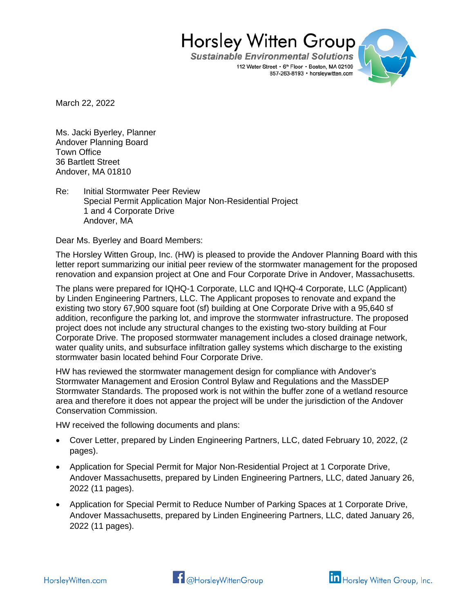**Sustainable Environmental Solutions** 112 Water Street • 6th Floor • Boston, MA 02109 857-263-8193 · horsleywitten.com



March 22, 2022

Ms. Jacki Byerley, Planner Andover Planning Board Town Office 36 Bartlett Street Andover, MA 01810

Re: Initial Stormwater Peer Review Special Permit Application Major Non-Residential Project 1 and 4 Corporate Drive Andover, MA

Dear Ms. Byerley and Board Members:

The Horsley Witten Group, Inc. (HW) is pleased to provide the Andover Planning Board with this letter report summarizing our initial peer review of the stormwater management for the proposed renovation and expansion project at One and Four Corporate Drive in Andover, Massachusetts.

The plans were prepared for IQHQ-1 Corporate, LLC and IQHQ-4 Corporate, LLC (Applicant) by Linden Engineering Partners, LLC. The Applicant proposes to renovate and expand the existing two story 67,900 square foot (sf) building at One Corporate Drive with a 95,640 sf addition, reconfigure the parking lot, and improve the stormwater infrastructure. The proposed project does not include any structural changes to the existing two-story building at Four Corporate Drive. The proposed stormwater management includes a closed drainage network, water quality units, and subsurface infiltration galley systems which discharge to the existing stormwater basin located behind Four Corporate Drive.

HW has reviewed the stormwater management design for compliance with Andover's Stormwater Management and Erosion Control Bylaw and Regulations and the MassDEP Stormwater Standards. The proposed work is not within the buffer zone of a wetland resource area and therefore it does not appear the project will be under the jurisdiction of the Andover Conservation Commission.

HW received the following documents and plans:

- Cover Letter, prepared by Linden Engineering Partners, LLC, dated February 10, 2022, (2 pages).
- Application for Special Permit for Major Non-Residential Project at 1 Corporate Drive, Andover Massachusetts, prepared by Linden Engineering Partners, LLC, dated January 26, 2022 (11 pages).
- Application for Special Permit to Reduce Number of Parking Spaces at 1 Corporate Drive, Andover Massachusetts, prepared by Linden Engineering Partners, LLC, dated January 26, 2022 (11 pages).



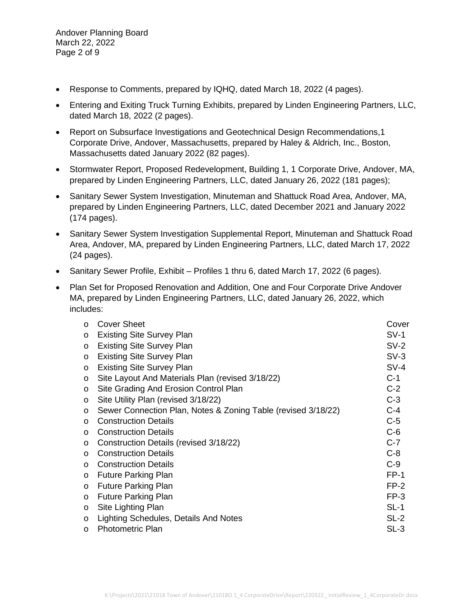Andover Planning Board March 22, 2022 Page 2 of 9

- Response to Comments, prepared by IQHQ, dated March 18, 2022 (4 pages).
- Entering and Exiting Truck Turning Exhibits, prepared by Linden Engineering Partners, LLC, dated March 18, 2022 (2 pages).
- Report on Subsurface Investigations and Geotechnical Design Recommendations,1 Corporate Drive, Andover, Massachusetts, prepared by Haley & Aldrich, Inc., Boston, Massachusetts dated January 2022 (82 pages).
- Stormwater Report, Proposed Redevelopment, Building 1, 1 Corporate Drive, Andover, MA, prepared by Linden Engineering Partners, LLC, dated January 26, 2022 (181 pages);
- Sanitary Sewer System Investigation, Minuteman and Shattuck Road Area, Andover, MA, prepared by Linden Engineering Partners, LLC, dated December 2021 and January 2022 (174 pages).
- Sanitary Sewer System Investigation Supplemental Report, Minuteman and Shattuck Road Area, Andover, MA, prepared by Linden Engineering Partners, LLC, dated March 17, 2022 (24 pages).
- Sanitary Sewer Profile, Exhibit Profiles 1 thru 6, dated March 17, 2022 (6 pages).
- Plan Set for Proposed Renovation and Addition, One and Four Corporate Drive Andover MA, prepared by Linden Engineering Partners, LLC, dated January 26, 2022, which includes:

| $\circ$ | <b>Cover Sheet</b>                                            | Cover  |
|---------|---------------------------------------------------------------|--------|
| $\circ$ | <b>Existing Site Survey Plan</b>                              | $SV-1$ |
| $\circ$ | <b>Existing Site Survey Plan</b>                              | $SV-2$ |
| $\circ$ | <b>Existing Site Survey Plan</b>                              | $SV-3$ |
| $\circ$ | <b>Existing Site Survey Plan</b>                              | $SV-4$ |
| $\circ$ | Site Layout And Materials Plan (revised 3/18/22)              | $C-1$  |
| $\circ$ | Site Grading And Erosion Control Plan                         | $C-2$  |
| $\circ$ | Site Utility Plan (revised 3/18/22)                           | $C-3$  |
| $\circ$ | Sewer Connection Plan, Notes & Zoning Table (revised 3/18/22) | $C-4$  |
| $\circ$ | <b>Construction Details</b>                                   | $C-5$  |
| $\circ$ | <b>Construction Details</b>                                   | $C-6$  |
| $\circ$ | Construction Details (revised 3/18/22)                        | $C-7$  |
| $\circ$ | <b>Construction Details</b>                                   | $C-8$  |
| $\circ$ | <b>Construction Details</b>                                   | $C-9$  |
| $\circ$ | <b>Future Parking Plan</b>                                    | $FP-1$ |
| $\circ$ | <b>Future Parking Plan</b>                                    | $FP-2$ |
| $\circ$ | <b>Future Parking Plan</b>                                    | $FP-3$ |
| $\circ$ | Site Lighting Plan                                            | $SL-1$ |
| $\circ$ | Lighting Schedules, Details And Notes                         | $SL-2$ |
| $\circ$ | <b>Photometric Plan</b>                                       | $SL-3$ |
|         |                                                               |        |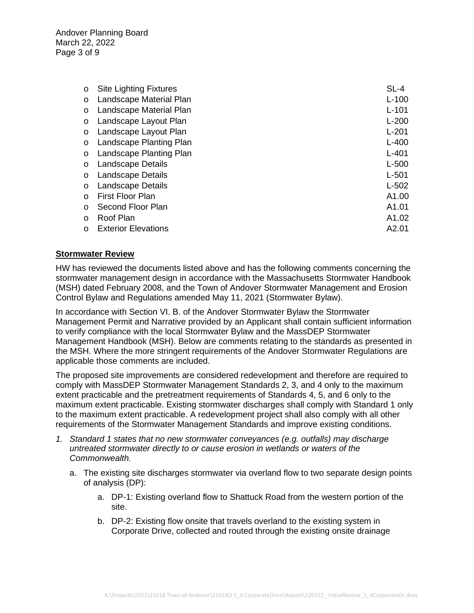Andover Planning Board March 22, 2022 Page 3 of 9

| $\circ$  | <b>Site Lighting Fixtures</b> | $SL-4$    |
|----------|-------------------------------|-----------|
| $\circ$  | Landscape Material Plan       | $L-100$   |
| $\circ$  | Landscape Material Plan       | $L - 101$ |
| $\circ$  | Landscape Layout Plan         | $L-200$   |
| $\circ$  | Landscape Layout Plan         | $L - 201$ |
| $\circ$  | Landscape Planting Plan       | $L-400$   |
| $\circ$  | Landscape Planting Plan       | $L - 401$ |
| O        | Landscape Details             | $L-500$   |
| O        | Landscape Details             | $L-501$   |
| $\circ$  | Landscape Details             | $L-502$   |
| $\Omega$ | <b>First Floor Plan</b>       | A1.00     |
| $\circ$  | Second Floor Plan             | A1.01     |
| $\Omega$ | Roof Plan                     | A1.02     |
|          | <b>Exterior Elevations</b>    | A2.01     |

## **Stormwater Review**

HW has reviewed the documents listed above and has the following comments concerning the stormwater management design in accordance with the Massachusetts Stormwater Handbook (MSH) dated February 2008, and the Town of Andover Stormwater Management and Erosion Control Bylaw and Regulations amended May 11, 2021 (Stormwater Bylaw).

In accordance with Section VI. B. of the Andover Stormwater Bylaw the Stormwater Management Permit and Narrative provided by an Applicant shall contain sufficient information to verify compliance with the local Stormwater Bylaw and the MassDEP Stormwater Management Handbook (MSH). Below are comments relating to the standards as presented in the MSH. Where the more stringent requirements of the Andover Stormwater Regulations are applicable those comments are included.

The proposed site improvements are considered redevelopment and therefore are required to comply with MassDEP Stormwater Management Standards 2, 3, and 4 only to the maximum extent practicable and the pretreatment requirements of Standards 4, 5, and 6 only to the maximum extent practicable. Existing stormwater discharges shall comply with Standard 1 only to the maximum extent practicable. A redevelopment project shall also comply with all other requirements of the Stormwater Management Standards and improve existing conditions.

- *1. Standard 1 states that no new stormwater conveyances (e.g. outfalls) may discharge untreated stormwater directly to or cause erosion in wetlands or waters of the Commonwealth.*
	- a. The existing site discharges stormwater via overland flow to two separate design points of analysis (DP):
		- a. DP-1: Existing overland flow to Shattuck Road from the western portion of the site.
		- b. DP-2: Existing flow onsite that travels overland to the existing system in Corporate Drive, collected and routed through the existing onsite drainage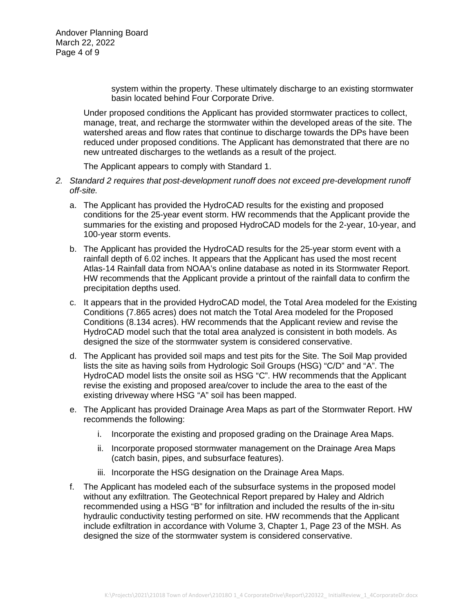Andover Planning Board March 22, 2022 Page 4 of 9

> system within the property. These ultimately discharge to an existing stormwater basin located behind Four Corporate Drive.

Under proposed conditions the Applicant has provided stormwater practices to collect, manage, treat, and recharge the stormwater within the developed areas of the site. The watershed areas and flow rates that continue to discharge towards the DPs have been reduced under proposed conditions. The Applicant has demonstrated that there are no new untreated discharges to the wetlands as a result of the project.

The Applicant appears to comply with Standard 1.

- *2. Standard 2 requires that post-development runoff does not exceed pre-development runoff off-site.*
	- a. The Applicant has provided the HydroCAD results for the existing and proposed conditions for the 25-year event storm. HW recommends that the Applicant provide the summaries for the existing and proposed HydroCAD models for the 2-year, 10-year, and 100-year storm events.
	- b. The Applicant has provided the HydroCAD results for the 25-year storm event with a rainfall depth of 6.02 inches. It appears that the Applicant has used the most recent Atlas-14 Rainfall data from NOAA's online database as noted in its Stormwater Report. HW recommends that the Applicant provide a printout of the rainfall data to confirm the precipitation depths used.
	- c. It appears that in the provided HydroCAD model, the Total Area modeled for the Existing Conditions (7.865 acres) does not match the Total Area modeled for the Proposed Conditions (8.134 acres). HW recommends that the Applicant review and revise the HydroCAD model such that the total area analyzed is consistent in both models. As designed the size of the stormwater system is considered conservative.
	- d. The Applicant has provided soil maps and test pits for the Site. The Soil Map provided lists the site as having soils from Hydrologic Soil Groups (HSG) "C/D" and "A". The HydroCAD model lists the onsite soil as HSG "C". HW recommends that the Applicant revise the existing and proposed area/cover to include the area to the east of the existing driveway where HSG "A" soil has been mapped.
	- e. The Applicant has provided Drainage Area Maps as part of the Stormwater Report. HW recommends the following:
		- i. Incorporate the existing and proposed grading on the Drainage Area Maps.
		- ii. Incorporate proposed stormwater management on the Drainage Area Maps (catch basin, pipes, and subsurface features).
		- iii. Incorporate the HSG designation on the Drainage Area Maps.
	- f. The Applicant has modeled each of the subsurface systems in the proposed model without any exfiltration. The Geotechnical Report prepared by Haley and Aldrich recommended using a HSG "B" for infiltration and included the results of the in-situ hydraulic conductivity testing performed on site. HW recommends that the Applicant include exfiltration in accordance with Volume 3, Chapter 1, Page 23 of the MSH. As designed the size of the stormwater system is considered conservative.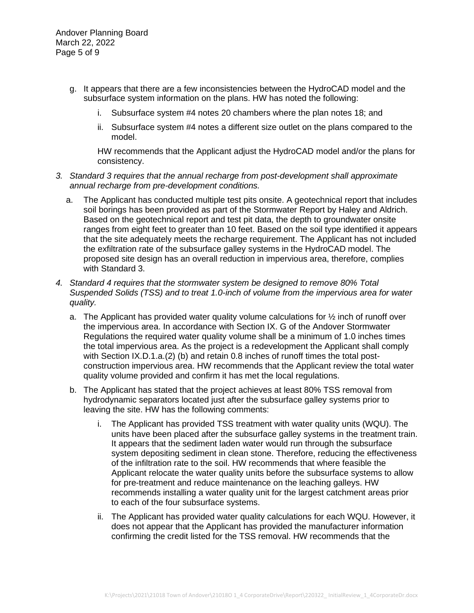Andover Planning Board March 22, 2022 Page 5 of 9

- g. It appears that there are a few inconsistencies between the HydroCAD model and the subsurface system information on the plans. HW has noted the following:
	- i. Subsurface system #4 notes 20 chambers where the plan notes 18; and
	- ii. Subsurface system #4 notes a different size outlet on the plans compared to the model.

HW recommends that the Applicant adjust the HydroCAD model and/or the plans for consistency.

- *3. Standard 3 requires that the annual recharge from post-development shall approximate annual recharge from pre-development conditions.*
	- a. The Applicant has conducted multiple test pits onsite. A geotechnical report that includes soil borings has been provided as part of the Stormwater Report by Haley and Aldrich. Based on the geotechnical report and test pit data, the depth to groundwater onsite ranges from eight feet to greater than 10 feet. Based on the soil type identified it appears that the site adequately meets the recharge requirement. The Applicant has not included the exfiltration rate of the subsurface galley systems in the HydroCAD model. The proposed site design has an overall reduction in impervious area, therefore, complies with Standard 3.
- *4. Standard 4 requires that the stormwater system be designed to remove 80% Total Suspended Solids (TSS) and to treat 1.0-inch of volume from the impervious area for water quality.*
	- a. The Applicant has provided water quality volume calculations for  $\frac{1}{2}$  inch of runoff over the impervious area. In accordance with Section IX. G of the Andover Stormwater Regulations the required water quality volume shall be a minimum of 1.0 inches times the total impervious area. As the project is a redevelopment the Applicant shall comply with Section IX.D.1.a.(2) (b) and retain 0.8 inches of runoff times the total postconstruction impervious area. HW recommends that the Applicant review the total water quality volume provided and confirm it has met the local regulations.
	- b. The Applicant has stated that the project achieves at least 80% TSS removal from hydrodynamic separators located just after the subsurface galley systems prior to leaving the site. HW has the following comments:
		- i. The Applicant has provided TSS treatment with water quality units (WQU). The units have been placed after the subsurface galley systems in the treatment train. It appears that the sediment laden water would run through the subsurface system depositing sediment in clean stone. Therefore, reducing the effectiveness of the infiltration rate to the soil. HW recommends that where feasible the Applicant relocate the water quality units before the subsurface systems to allow for pre-treatment and reduce maintenance on the leaching galleys. HW recommends installing a water quality unit for the largest catchment areas prior to each of the four subsurface systems.
		- ii. The Applicant has provided water quality calculations for each WQU. However, it does not appear that the Applicant has provided the manufacturer information confirming the credit listed for the TSS removal. HW recommends that the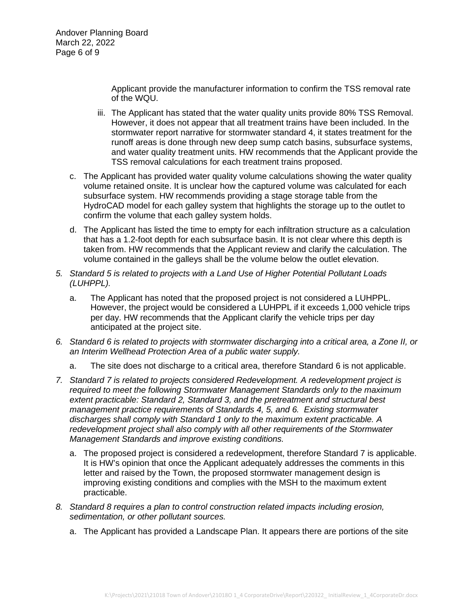Andover Planning Board March 22, 2022 Page 6 of 9

> Applicant provide the manufacturer information to confirm the TSS removal rate of the WQU.

- iii. The Applicant has stated that the water quality units provide 80% TSS Removal. However, it does not appear that all treatment trains have been included. In the stormwater report narrative for stormwater standard 4, it states treatment for the runoff areas is done through new deep sump catch basins, subsurface systems, and water quality treatment units. HW recommends that the Applicant provide the TSS removal calculations for each treatment trains proposed.
- c. The Applicant has provided water quality volume calculations showing the water quality volume retained onsite. It is unclear how the captured volume was calculated for each subsurface system. HW recommends providing a stage storage table from the HydroCAD model for each galley system that highlights the storage up to the outlet to confirm the volume that each galley system holds.
- d. The Applicant has listed the time to empty for each infiltration structure as a calculation that has a 1.2-foot depth for each subsurface basin. It is not clear where this depth is taken from. HW recommends that the Applicant review and clarify the calculation. The volume contained in the galleys shall be the volume below the outlet elevation.
- *5. Standard 5 is related to projects with a Land Use of Higher Potential Pollutant Loads (LUHPPL).*
	- a. The Applicant has noted that the proposed project is not considered a LUHPPL. However, the project would be considered a LUHPPL if it exceeds 1,000 vehicle trips per day. HW recommends that the Applicant clarify the vehicle trips per day anticipated at the project site.
- *6. Standard 6 is related to projects with stormwater discharging into a critical area, a Zone II, or an Interim Wellhead Protection Area of a public water supply.*
	- a. The site does not discharge to a critical area, therefore Standard 6 is not applicable.
- *7. Standard 7 is related to projects considered Redevelopment. A redevelopment project is required to meet the following Stormwater Management Standards only to the maximum extent practicable: Standard 2, Standard 3, and the pretreatment and structural best management practice requirements of Standards 4, 5, and 6. Existing stormwater discharges shall comply with Standard 1 only to the maximum extent practicable. A redevelopment project shall also comply with all other requirements of the Stormwater Management Standards and improve existing conditions.*
	- a. The proposed project is considered a redevelopment, therefore Standard 7 is applicable. It is HW's opinion that once the Applicant adequately addresses the comments in this letter and raised by the Town, the proposed stormwater management design is improving existing conditions and complies with the MSH to the maximum extent practicable.
- *8. Standard 8 requires a plan to control construction related impacts including erosion, sedimentation, or other pollutant sources.*
	- a. The Applicant has provided a Landscape Plan. It appears there are portions of the site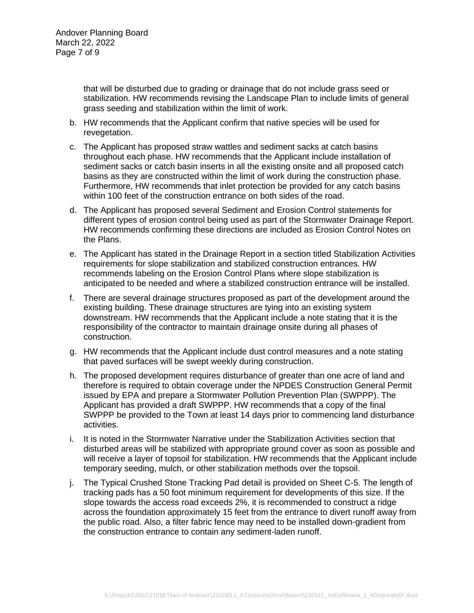that will be disturbed due to grading or drainage that do not include grass seed or stabilization. HW recommends revising the Landscape Plan to include limits of general grass seeding and stabilization within the limit of work.

- b. HW recommends that the Applicant confirm that native species will be used for revegetation.
- c. The Applicant has proposed straw wattles and sediment sacks at catch basins throughout each phase. HW recommends that the Applicant include installation of sediment sacks or catch basin inserts in all the existing onsite and all proposed catch basins as they are constructed within the limit of work during the construction phase. Furthermore, HW recommends that inlet protection be provided for any catch basins within 100 feet of the construction entrance on both sides of the road.
- d. The Applicant has proposed several Sediment and Erosion Control statements for different types of erosion control being used as part of the Stormwater Drainage Report. HW recommends confirming these directions are included as Erosion Control Notes on the Plans.
- e. The Applicant has stated in the Drainage Report in a section titled Stabilization Activities requirements for slope stabilization and stabilized construction entrances. HW recommends labeling on the Erosion Control Plans where slope stabilization is anticipated to be needed and where a stabilized construction entrance will be installed.
- f. There are several drainage structures proposed as part of the development around the existing building. These drainage structures are tying into an existing system downstream. HW recommends that the Applicant include a note stating that it is the responsibility of the contractor to maintain drainage onsite during all phases of construction.
- g. HW recommends that the Applicant include dust control measures and a note stating that paved surfaces will be swept weekly during construction.
- h. The proposed development requires disturbance of greater than one acre of land and therefore is required to obtain coverage under the NPDES Construction General Permit issued by EPA and prepare a Stormwater Pollution Prevention Plan (SWPPP). The Applicant has provided a draft SWPPP. HW recommends that a copy of the final SWPPP be provided to the Town at least 14 days prior to commencing land disturbance activities.
- i. It is noted in the Stormwater Narrative under the Stabilization Activities section that disturbed areas will be stabilized with appropriate ground cover as soon as possible and will receive a layer of topsoil for stabilization. HW recommends that the Applicant include temporary seeding, mulch, or other stabilization methods over the topsoil.
- j. The Typical Crushed Stone Tracking Pad detail is provided on Sheet C-5. The length of tracking pads has a 50 foot minimum requirement for developments of this size. If the slope towards the access road exceeds 2%, it is recommended to construct a ridge across the foundation approximately 15 feet from the entrance to divert runoff away from the public road. Also, a filter fabric fence may need to be installed down-gradient from the construction entrance to contain any sediment-laden runoff.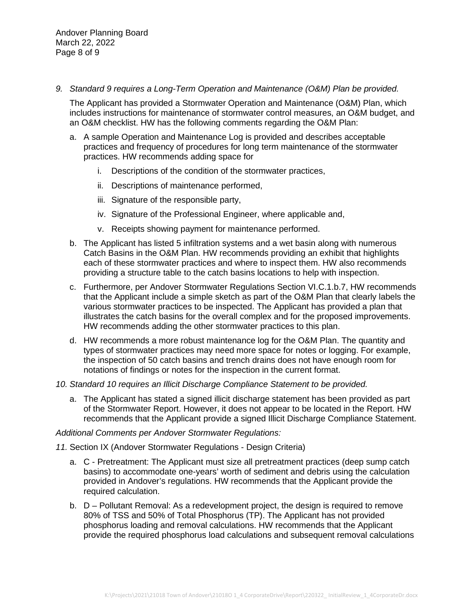*9. Standard 9 requires a Long-Term Operation and Maintenance (O&M) Plan be provided.*

The Applicant has provided a Stormwater Operation and Maintenance (O&M) Plan, which includes instructions for maintenance of stormwater control measures, an O&M budget, and an O&M checklist. HW has the following comments regarding the O&M Plan:

- a. A sample Operation and Maintenance Log is provided and describes acceptable practices and frequency of procedures for long term maintenance of the stormwater practices. HW recommends adding space for
	- i. Descriptions of the condition of the stormwater practices,
	- ii. Descriptions of maintenance performed,
	- iii. Signature of the responsible party,
	- iv. Signature of the Professional Engineer, where applicable and,
	- v. Receipts showing payment for maintenance performed.
- b. The Applicant has listed 5 infiltration systems and a wet basin along with numerous Catch Basins in the O&M Plan. HW recommends providing an exhibit that highlights each of these stormwater practices and where to inspect them. HW also recommends providing a structure table to the catch basins locations to help with inspection.
- c. Furthermore, per Andover Stormwater Regulations Section VI.C.1.b.7, HW recommends that the Applicant include a simple sketch as part of the O&M Plan that clearly labels the various stormwater practices to be inspected. The Applicant has provided a plan that illustrates the catch basins for the overall complex and for the proposed improvements. HW recommends adding the other stormwater practices to this plan.
- d. HW recommends a more robust maintenance log for the O&M Plan. The quantity and types of stormwater practices may need more space for notes or logging. For example, the inspection of 50 catch basins and trench drains does not have enough room for notations of findings or notes for the inspection in the current format.
- *10. Standard 10 requires an Illicit Discharge Compliance Statement to be provided.*
	- a. The Applicant has stated a signed illicit discharge statement has been provided as part of the Stormwater Report. However, it does not appear to be located in the Report. HW recommends that the Applicant provide a signed Illicit Discharge Compliance Statement.

## *Additional Comments per Andover Stormwater Regulations:*

- *11.* Section IX (Andover Stormwater Regulations Design Criteria)
	- a. C Pretreatment: The Applicant must size all pretreatment practices (deep sump catch basins) to accommodate one-years' worth of sediment and debris using the calculation provided in Andover's regulations. HW recommends that the Applicant provide the required calculation.
	- b. D Pollutant Removal: As a redevelopment project, the design is required to remove 80% of TSS and 50% of Total Phosphorus (TP). The Applicant has not provided phosphorus loading and removal calculations. HW recommends that the Applicant provide the required phosphorus load calculations and subsequent removal calculations